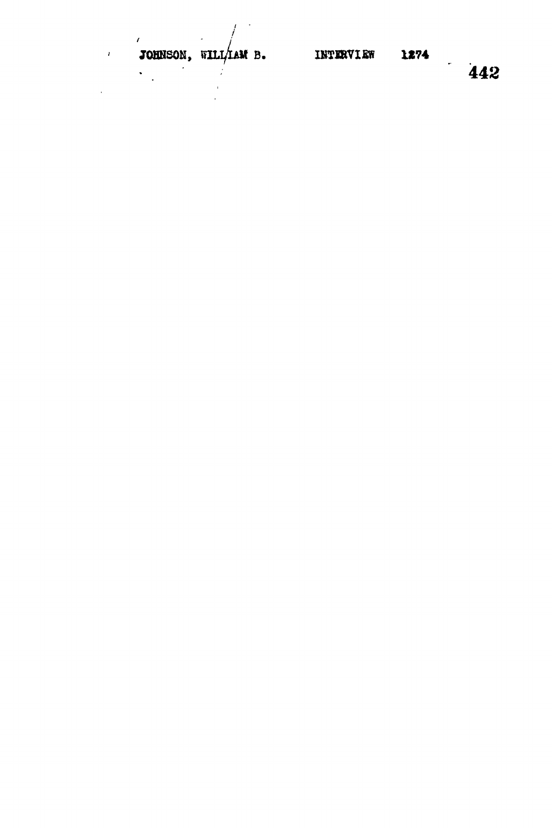J.

 $\overline{1}$ 

 $\prime$ 

 $\hat{\mathbf{v}}$  $\ddot{\phantom{a}}$ 

 $\lambda$ 

 $1274$  442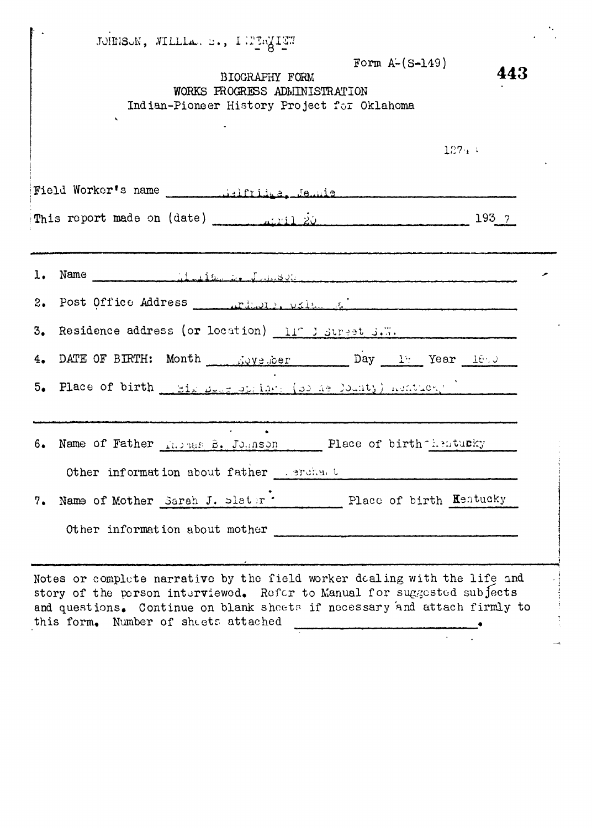|     | JOHNSON, WILLIAN B., INTERMITE<br>Form $A - (S - 149)$<br>BIOGRAPHY FORM<br>WORKS PROGRESS ADMINISTRATION<br>Indian-Pioneer History Project for Oklahoma                                                                                                                  | 443 |
|-----|---------------------------------------------------------------------------------------------------------------------------------------------------------------------------------------------------------------------------------------------------------------------------|-----|
|     | 127.4                                                                                                                                                                                                                                                                     |     |
|     |                                                                                                                                                                                                                                                                           |     |
|     | 193 7                                                                                                                                                                                                                                                                     |     |
| 2.  |                                                                                                                                                                                                                                                                           |     |
| 3.  | Residence address (or location) 117 J Street S.W.                                                                                                                                                                                                                         |     |
|     | 4. DATE OF BIRTH: Month Worth Construction Day 17 Year 1890<br>5. Place of birth __ Mix programs (a) he locaty) hentuchy _________                                                                                                                                        |     |
|     | 6. Name of Father Riphes B. Johnson Place of birth hentucky<br>Other information about father cerchat                                                                                                                                                                     |     |
| 7.7 | Name of Mother Sarah J. Slater * Place of birth Kentucky<br>Other information about mother                                                                                                                                                                                |     |
|     | Notes or complete narrative by the field worker dealing with the life and<br>story of the person interviewed. Refer to Manual for suggested subjects<br>and questions. Continue on blank sheets if necessary and attach firmly to<br>this form. Number of sheets attached |     |

 $\hat{\mathbf{r}}$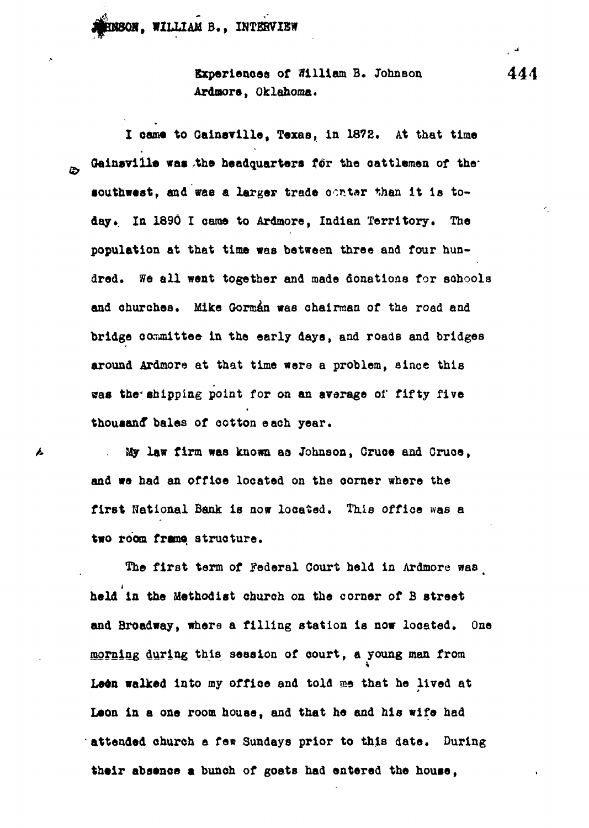**, WILLIAM B., INTERVIEW**

L

**Experiences of 91111am B, Johnson 44 4 Ardaore, Oklahoma,**

I came to Gainsville, Texas, in 1872. At that time Gainsville was the headquarters for the cattlemen of the<sup>\*</sup> southwest, and was a larger trade oanter than it is today. In 1890 I came to Ardmore, Indian Territory. The **population at that time was between three and four hundred. We all went together and made donations for schools and churches. Mike Gorman was chairman of the road and bridge conunittee in the early days, and roads and bridges around Ardmore at that time were a problem, since this was the<sup>4</sup>shipping point for on an average of fifty five thousand\* bales of cotton each year.**

**. My law firm was known aa Johnson, Cruoe and Cruoe, and we had an office located on the corner where the first National Bank is now located. This office was a two room framo structure.**

**Tne first term of Federal Court held in Ardmore was** t **held in the Methodist ohuroh on the corner of B street and Broadway, where a filling station is now located. One morning during this session of court, a young man from Lean walked into my office and told me that he lived at Leon in a one room house, and that he and his wife had attended church a fen Sundays prior to this date. During** their absence a bunch of goats had entered the house,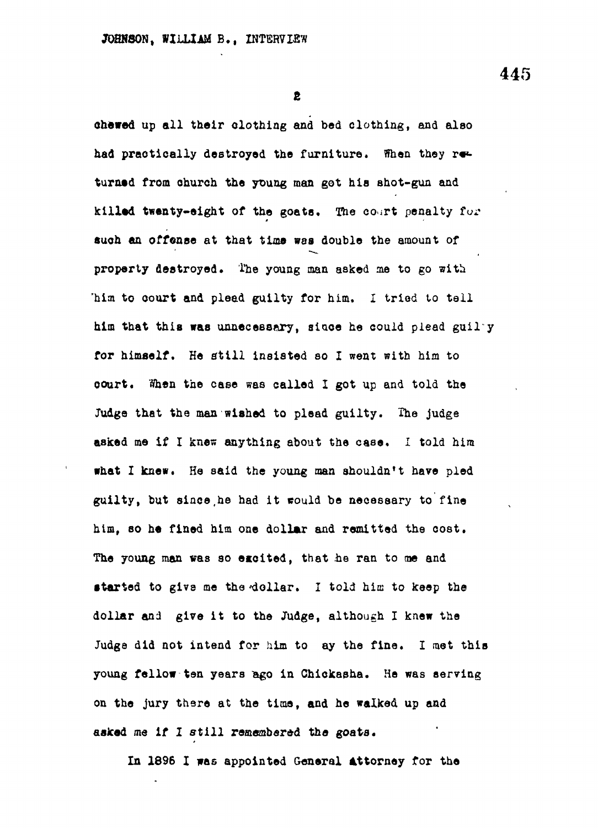**445**

**e**

**chewed up all their clothing and bed clothing, and also** had practically destroyed the furniture. Then they returned from church the young man got his shot-gun and **killed twenty-eight of the goats. The court penalty fur auoh an offenae at that time was double the amount of property destroyed. 'the young man asked me to go with "him to court and plead guilty for him. I tried to tall him that this was unnecessary, siaoe he could plead gaily for himself. He fitill insisted so I went with him to court. When the case was called I got up and told the Judge that the man wished to plead guilty. The judge asked me if I knes anything about the case. I told him what I knew. He said the young man shouldn't have pled guilty, but 8ince,he had it would be necessary to fine him, so he fined him one dollar and remitted the cost.** The young man was so excited, that he ran to me and started to give me the dollar. I told him to keep the **dollar and give it to the Judge, although I knew the Judge did not intend for him to ay the fine. I met this young fellow ten years fego in Chickasha. He was serving on the jury there at the time, and he walked up and asked me if I still remembered the goats.**

**In 1896 I was appointed General Attorney for the**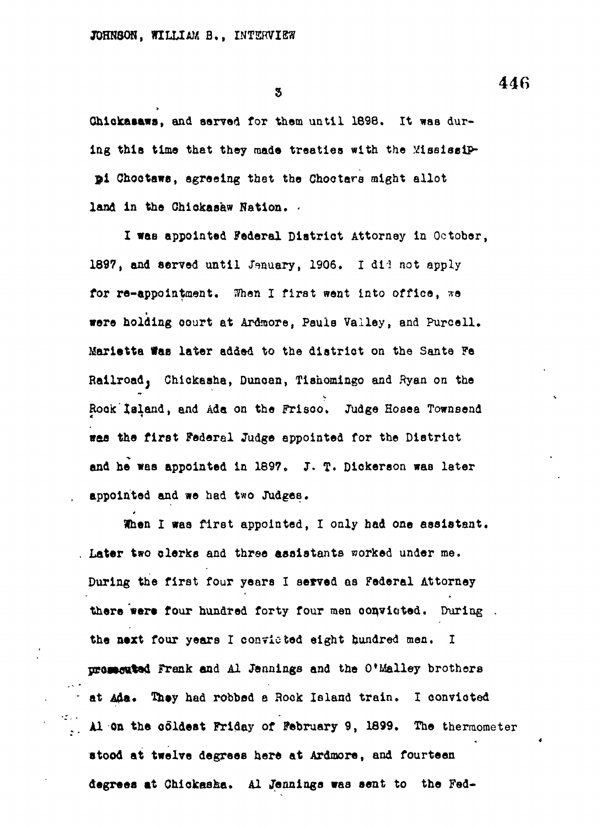**appointed and we had two Judges.**

3

**Qhlokasaws, and served for them until 1698, It was dur**ing this time that they made treaties with the *Yississip*-**\$1 Cnootaws, agreeing that the Choctare might allot land in the Chiokasaw Nation. -**

**I was appointed Federal Diatrict Attorney in October, 1897, and served until Jenuary, 1906. I dii not apply for re-appointment. When I first went into office, we** were holding court at Ardmore, Pauls Valley, and Purcell. Rock Island, and Ada on the Frisco. Judge Hosea Townsend **Rock 1aland, and Ada on the Frisco, Judge Hosea Townsend** was the first Federal Judge appointed for the District **«earth Federal Judge approximation** and he was appointed in 1897. J. T. Dickerson was later appointed and we had two Judges.

. Later two clerks and three assistants worked under me. **Later two clerks and three assistants worked under me.** During the first four years I served as Federal Attorney **During the first four years I served as Federal Attorney** there were four hundred forty four men convicted. During. **there were four hundred forty four men oonvioted. During .** the next four years I convicted eight hundred men. I presecuted Frank and Al Jennings and the O'Malley brothers **pro»Mtt%e4 Frank and Al Jennings and the O'Malley brothers** at Ada. They had robbed a Rock Island train. I convicted **at on the coldest Friday of February 9, 1899. The thermometer Al On the coldest Friday of February 9, 1899. The thermometer** stood at twelve degrees here at Ardmore, and fourteen degrees at Chickasha. Al Jennings was sent to the Fed-

**degrees at Chiokaaha. Al Jennings was sent to the Fed-**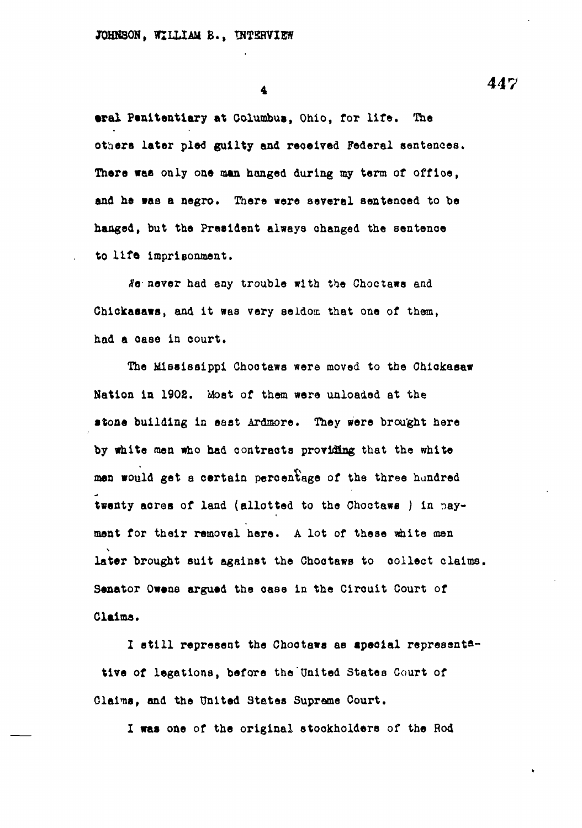**tral Penitentiary at Columbus, Ohio, for life. The others later pled guilty and received Federal sentences. There wae only one man hanged during my term of office, and he was a negro. There were several sentenced to be hanged, but the President always changed the sentenoe to life, imprisonment.**

**<?e never had any trouble with the Choctawa and Chickaaaws, and it was very seldom that one of them, had a case in oourt.**

**The Mississippi Chootaws were moved to the Chiokasaw Nation in 1902. Moat of them were unloaded at the •tone building in east Ardmore. They were brought here by white men who had contracts providing that the white man would get a certain percentage of the three hundred twenty acrea of land (allotted to the Choctaws ) in payment for their removal here. A lot of these white men later brought suit against the Chootaws to oollect claims, Senator Owene argued the oase in the Circuit Court of Claims.**

**I still represent the Chootaws as tpeoial representative of legations, before the"United States Court of Claims, and the United States Supreme Court.**

**I was one of the original stockholders of the Rod**